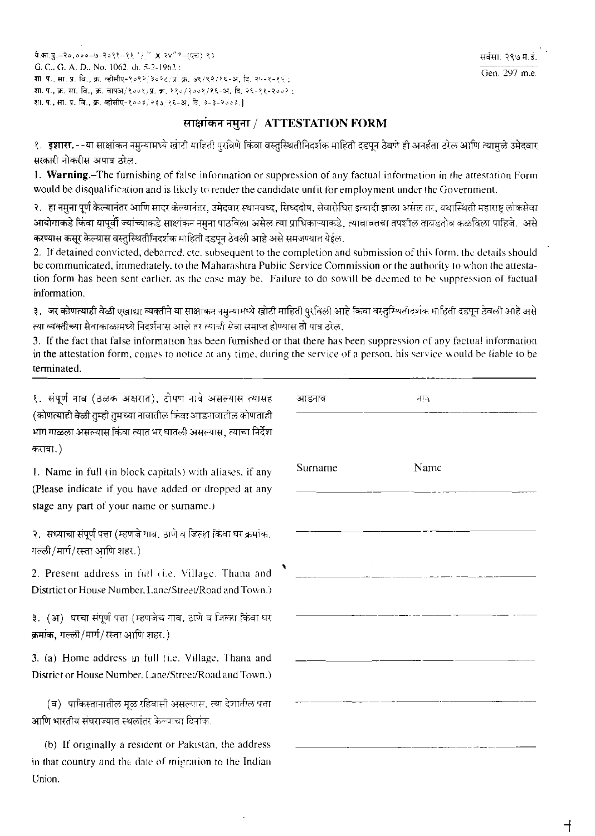ये.का.मु. -२०,०००-७-२०११-११  $^{\prime}$  /  $^{\prime\prime}$  x २४"\*-(एच) ९३ G. C., G. A. D., No. 1062. dt. 5-2-1962 : शा. प., सा. प्र. वि., क्र. व्हीसीए-१०९२/३०२८/प्र. क्र. ७९/९२/१६-अ. वि. २५-१-१५ : शा. प., क्र. सा. वि., क्र. चापअ/१००१/प्र. क्र. ११०/२००१/१६-अ. दि. २६-११-२००२ : शा. प., सा. प्र. वि., क्र. व्हीसीए-१००३/२३७/१६-अ. दि. ३-३-२००३.)

## साक्षांकन नमुना / ATTESTATION FORM

१. **इशारा.**--या साक्षांकन नमुन्यामध्ये खोटी माहिती पुरविणे किंवा वस्तुस्थितीनिदर्शक माहिती दडपून ठेवणे ही अनर्हता ठरेल आणि त्यामुळे उमेदवार सरकारी नोकरीस अपात्र ठोल.

1. Warning.-The furnishing of false information or suppression of any factual information in the attestation Form would be disqualification and is likely to render the candidate unfit for employment under the Government.

२. ) हा नमुना पूर्ण केल्यानंतर आणि सादर केल्यानंतर, उमेदवार स्थानवध्द, सिध्ददोष, सेवारोधित इत्यादी झाला असेल तर, यथास्थिती महाराष्ट लोकसेवा आयोगाकडे किंवा यापूर्वी ज्यांच्याकडे साक्षांकन नमुना पाठविला असेल त्या प्राधिकाऱ्याकडे. त्याबावतचा तपशील तावडतोब कळविला पाहिजे. असे करण्यास कसूर केल्यास वस्तुस्थितीनिदर्शक माहिती दडपून ठेवली आहे असे समजण्यात येईल.

2. It detained convicted, debarred, etc. subsequent to the completion and submission of this form, the details should be communicated, immediately, to the Maharashtra Public Service Commission or the authority to whon the attestation form has been sent earlier, as the case may be. Failure to do sowill be deemed to be suppression of factual information.

३. जर कोणत्याही वेळी एखाद्या व्यक्तीने या साक्षांकन नमुन्यामध्ये खोटी माहिती पुरविली आहे किवा वस्तुम्थितीदशक माहिती दडपून ठेवली आहे असे त्या व्यक्तीच्या सेवाकाळामध्ये निदर्शनास आले तर त्याची सेवा समाप्त होण्यास तो पात्र ठरेल.

3. If the fact that false information has been furnished or that there has been suppression of any factual information in the attestation form, comes to notice at any time, during the service of a person, his service would be liable to be terminated.

१. संपूर्ण नाव (ठळक अक्षरात), टोपण नावे असल्यास त्यासह (कोणत्याही वेळी तुम्ही तुमच्या नावातील किंवा आडनावातील कोणताही भाग गाळला असल्यास किंवा त्यात भर घातली असल्यास, त्याचा निर्देश करावा.)

1. Name in full (in block capitals) with aliases, if any (Please indicate if you have added or dropped at any stage any part of your name or surname.)

२. सध्याचा संपूर्ण पत्ता (म्हणजे गाव, ठाणे व जिल्हा किंवा घर क्रमांक. गल्ली/मार्ग/रस्ता आणि शहर.)

2. Present address in full (i.e. Village, Thana and District or House Number, Lane/Street/Road and Town.)

३. (अ) घरचा संपूर्ण पत्ता (म्हणजेच गाव, ठाणे व जिल्हा किंवा घर क्रमांक, गल्ली/मार्ग/रस्ता आणि शहर.)

3. (a) Home address in full (i.e. Village, Thana and District or House Number, Lane/Street/Road and Town.)

(ब) पाकिस्तानातील मुळ रहिवासी असल्यास, त्या देशातील पत्ता आणि भारतीय संघराज्यात स्थलांतर केल्याचा दिनांक.

(b) If originally a resident or Pakistan, the address in that country and the date of migration to the Indian Union.

| आडनाव   | नाव  |  |
|---------|------|--|
| Surname | Namc |  |
|         |      |  |
|         |      |  |
|         |      |  |
|         |      |  |
|         |      |  |

⊣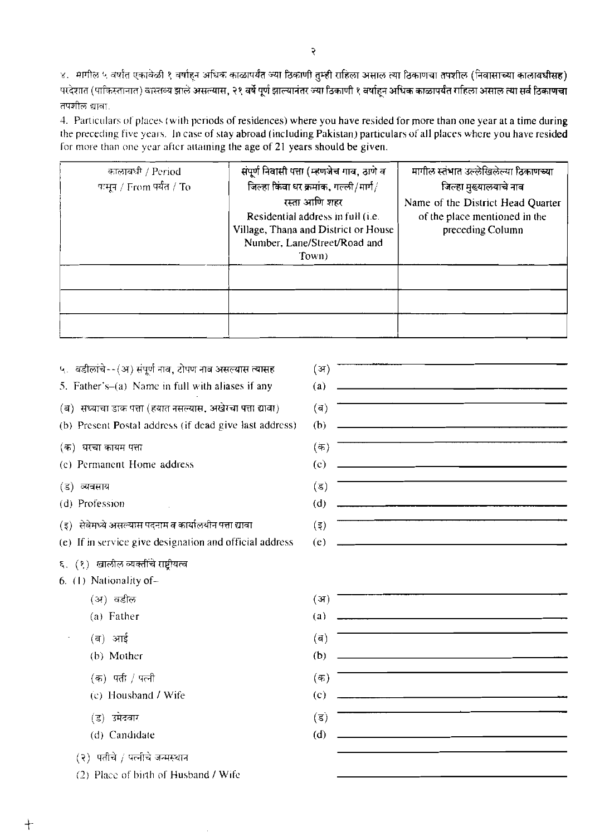४. मागील ५ वर्षांत एकावेळी १ वर्षाहून अधिक काळापर्यंत ज्या ठिकाणी तुम्ही राहिला असाल त्या ठिकाणचा तपशील (निवासाच्या कालावधीसह) -<br>परदेशात (पाकिस्तानात) वास्तव्य झाले असल्यास, २१ वर्षे पूर्ण झाल्यानंतर ज्या ठिकाणी १ वर्षाहन अधिक काळापर्यंत राहिला असाल त्या सर्व ठिकाणचा  $\overline{\text{qu}}$ शक्ति द्याला.

4. Particulars of places (with periods of residences) where you have resided for more than one year at a time during the preceding five years. In case of stay abroad (including Pakistan) particulars of all places where you have resided for more than one year after attaining the age of 21 years should be given.

| कालावधी / Period          | संपूर्ण निवासी पत्ता (म्हणजेच गाव, ठाणे व                                                                                           | मागील स्तंभात उल्लेखिलेल्या ठिकाणच्या.                                                 |
|---------------------------|-------------------------------------------------------------------------------------------------------------------------------------|----------------------------------------------------------------------------------------|
| पासून / From पर्यंत / To- | जिल्हा किंवा धर क्रमांक, गल्ली/मार्ग/                                                                                               | जिल्हा मुख्यालयाचे नाव                                                                 |
|                           | रस्ता आणि शहर<br>Residential address in full (i.e.<br>Village, Thana and District or House<br>Number, Lane/Street/Road and<br>Town) | Name of the District Head Quarter<br>of the place mentioned in the<br>preceding Column |
|                           |                                                                                                                                     |                                                                                        |
|                           |                                                                                                                                     |                                                                                        |
|                           |                                                                                                                                     |                                                                                        |

| ५. वडीलांचे--(अ) संपूर्ण नाव, टोपण नाव असल्यास त्यासह     | (अ)                                                                                                                                                                                                                                         |
|-----------------------------------------------------------|---------------------------------------------------------------------------------------------------------------------------------------------------------------------------------------------------------------------------------------------|
| 5. Father's- $(a)$ Name in full with aliases if any       | <u> 1980 - Andrea Brasil, Amerikaansk politiker (* 1980)</u><br>(a)                                                                                                                                                                         |
| (ब) सध्याचा डाक पत्ता (हयात नसल्यास, अखेरचा पत्ता द्यावा) | (d)                                                                                                                                                                                                                                         |
| (b) Present Postal address (if dead give last address)    | (b)<br><u> 1980 - Johann Barn, mars ann an t-Amhraich ann an t-Amhraich ann an t-Amhraich ann an t-Amhraich ann an t-Amhraich ann an t-Amhraich ann an t-Amhraich ann an t-Amhraich ann an t-Amhraich ann an t-Amhraich ann an t-Amhrai</u> |
| (क) घरचा कायम पत्ता                                       | (क)                                                                                                                                                                                                                                         |
| (c) Permanent Home address                                | $\left( \text{e} \right)$                                                                                                                                                                                                                   |
| (ड) व्यवसाय                                               | (ड)                                                                                                                                                                                                                                         |
| (d) Profession                                            | (d)                                                                                                                                                                                                                                         |
| (इ) सेवेमध्ये असल्यास पदनाम व कार्यालयीन पत्ता द्यावा     | $($ इ)                                                                                                                                                                                                                                      |
| (e) If in service give designation and official address   | <u> 1989 - Andrea Stadt Britain, amerikansk politiker (</u><br>(e)                                                                                                                                                                          |
| ६. (१) खालील व्यक्तींचे राष्ट्रीयत्व                      |                                                                                                                                                                                                                                             |
| 6. (1) Nationality of-                                    |                                                                                                                                                                                                                                             |
| (अ) वडील                                                  | (3I)                                                                                                                                                                                                                                        |
| (a) Father                                                | <u> 1980 - Johann Stein, marwolaethau a bhann an t-Amhair an t-Amhair an t-Amhair an t-Amhair an t-Amhair an t-A</u><br>(a)                                                                                                                 |
| (ब) आई                                                    | $(\mathbf{a})$                                                                                                                                                                                                                              |
| (b) Mother                                                | <u> 1980 - Jan Barat, amerikan bahasa perang berasal pengaran pengaran pengaran pengaran pengaran pengaran pengar</u><br>(b)                                                                                                                |
| (क) पती / पत्नी                                           | (क)                                                                                                                                                                                                                                         |
| (c) Housband / Wife                                       | <u> 1989 - Johann Barn, mars eta bainar eta bainar eta baina eta baina eta baina eta baina eta baina eta baina e</u><br>(c)                                                                                                                 |
| (ड) उमेदवार                                               | $(\overline{s})$                                                                                                                                                                                                                            |
| (d) Candidate                                             | <u> 1980 - John Stein, Amerikaansk politiker († 1908)</u><br>(d)                                                                                                                                                                            |
| (२) पतीचे / पत्नीचे जन्मस्थान                             |                                                                                                                                                                                                                                             |
| (2) Place of birth of Husband / Wife                      |                                                                                                                                                                                                                                             |

 $+$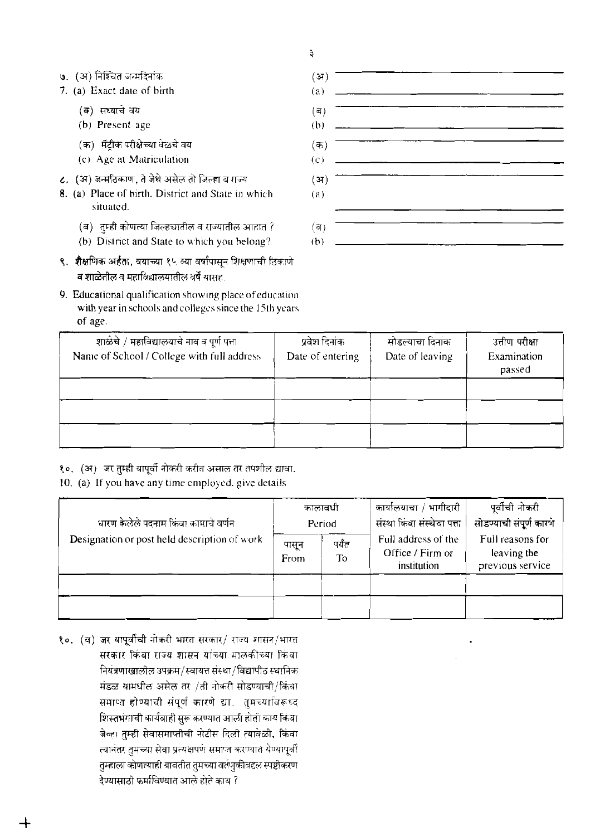३

- ७. (अ) निश्चित जन्मदिनांक
- 7. (a) Exact date of birth
	- (ब) सध्याचे वय
	- (b) Present age
	- (क) मॅटीक परीक्षेच्या वेळचे वय
	- (c) Age at Matriculation
- ८. (अ) जन्मठिकाण, ते जेथे असेल तो जिल्हा व राज्य
- 8. (a) Place of birth, District and State in which situated.
	- (ब) तुम्ही कोणत्या जिल्हचातील व राज्यातील आहात ?
	- (b) District and State to which you belong?
- ९. शैक्षणिक अर्हता, वयाच्या १५ व्या वर्षांपासून शिक्षणाची ठिकाणे व शाळेतील व महाविद्यालयातील वर्षे यासह.
- 9. Educational qualification showing place of education with year in schools and colleges since the 15th years of age.



| शाळेचे / महाविद्यालयाचे नाव व पूर्ण पत्ता<br>Name of School / College with full address | प्रवेश दिनांक<br>Date of entering | सोडल्याचा दिनाक<br>Date of leaving | उत्तीण परीक्षा<br>Examination<br>passed |
|-----------------------------------------------------------------------------------------|-----------------------------------|------------------------------------|-----------------------------------------|
|                                                                                         |                                   |                                    |                                         |
|                                                                                         |                                   |                                    |                                         |
|                                                                                         |                                   |                                    |                                         |

१०. (अ) जर तुम्ही यापूर्वी नोकरी करीत असाल तर तपशील द्यावा.

#### 10. (a) If you have any time employed, give details

| धारण केलेले पदनाम किंवा कामाचे वर्णन         | कालावधी<br>Period | कार्यालयाचा / भागीदारी<br>संस्था किंवा संस्थेचा पत्ता | पूर्वीची नोकरी<br>सोडण्याची संपूर्ण कारणे              |                                                     |
|----------------------------------------------|-------------------|-------------------------------------------------------|--------------------------------------------------------|-----------------------------------------------------|
| Designation or post held description of work | पासून<br>From     | पर्यंत<br>To                                          | Full address of the<br>Office / Firm or<br>institution | Full reasons for<br>leaving the<br>previous service |
|                                              |                   |                                                       |                                                        |                                                     |
|                                              |                   |                                                       |                                                        |                                                     |

१०. (ब) जर यापूर्वीची नोकरी भारत सरकार/ राज्य शासन/भारत सरकार किंवा राज्य शासन यांच्या मालकीच्या किंवा नियंत्रणाखालील उपक्रम/स्वायत्त संस्था/विद्यापीठ स्थानिक मंडळ यामधील असेल तर /ती नोकरी सोडण्याची/किंवा समाप्त होण्याची संपूर्ण कारणे द्या. तुमच्याविरूध्द शिस्तभंगाची कार्यवाही सुरू करण्यात आली होती काय किंवा जेव्हा तुम्ही सेवासमाप्तीची नोटीस दिली त्यावळी, किंवा त्यानंतर तुमच्या सेवा प्रत्यक्षपणे समाप्त करण्यात येण्यापूर्वी तुम्हाला कोणत्याही बाबतीत तुमच्या वर्तणुकीवद्दल स्पष्टीकरण देण्यासाठी फर्माविण्यात आले होते काय ?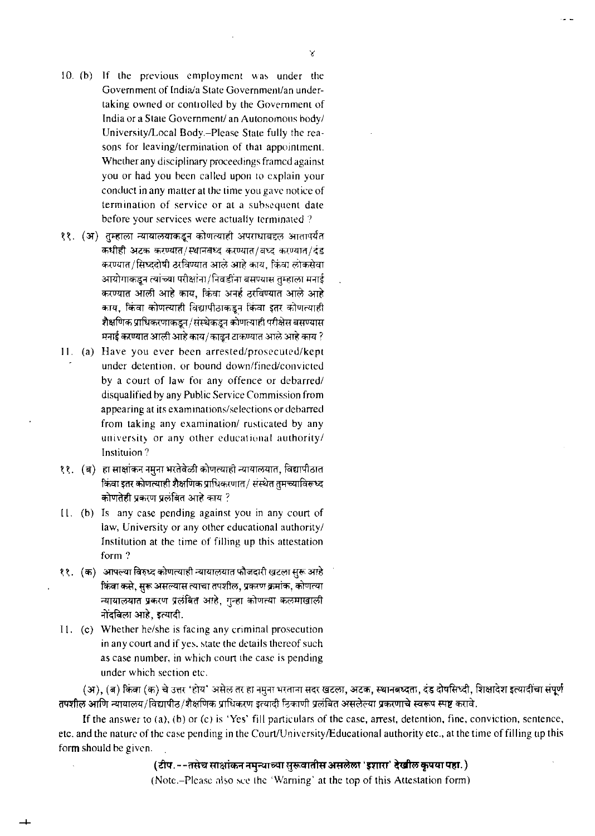- 10. (b) If the previous employment was under the Government of India/a State Government/an undertaking owned or controlled by the Government of India or a State Government/ an Autonomous body/ University/Local Body.-Please State fully the rensons for leaving/termination of that appointment. Whether any disciplinary proceedings framed against you or had you been called upon to explain your conduct in any matter at the time you gave notice of termination of service or at a subsequent date before your services were actually terminated ?
- ११. (अ) तुम्हाला न्यायालयाकडून कोणत्याही अपराधाबद्दल आतापर्यंत कधीही अटक करण्यात/स्थानबध्द करण्यात/बध्द करण्यात/दंड करण्यात/सिध्ददोषी ठरविण्यात आले आहे काय, किंवा लोकसेवा आयोगाकडून त्यांच्या परीक्षांना/निवडींना बसण्यास तुम्हाला मनाई करण्यात आली आहे काय, किंवा अनर्ह ठरविण्यात आले आहे काय, किंवा कोणत्याही विद्यापीठाकडून किंवा इतर कोणत्याही शैक्षणिक प्राधिकरणाकडून/संस्थेकडून कोणत्याही परीक्षेस बसण्यास . मनाई करण्यात आली आहे काय/कादून टाकण्यात आले आहे काय
- 11. (a) Have you ever been arrested/prosecuted/kept under detention, or bound down/fined/convicted by a court of law for any offence or debarred/ disqualified by any Public Service Commission from appearing at its examinations/selections or debarred from taking any examination/ rusticated by any university or any other educational authority/ Instituion?
- ११. (ब) हा साक्षांकन नमुना भरतेवेळी कोणत्याही न्यायालयात, विद्यापीठात किंवा इतर कोणत्याही शैक्षणिक प्राधिकरणात/ संस्थेत तुमच्याविरूध्द <u>कोणतेही प्रकरण प्रलंबित आहे काय ?</u>
- II. (b) Is any case pending against you in any court of law, University or any other educational authority/ Institution at the time of filling up this attestation form ?
- ११. (क) आपल्या विरुध्द कोणत्याही न्यायालयात फौजदारी खटला सुरू आहे किंवा कसे, सुरू असल्यास त्याचा तपशील, प्रकरण क्रमांक, कोणत्या न्यायालयात प्रकरण प्रलंबित आहे, गुन्हा कोणत्या कलमाखाली नोंदविला आहे. **इ**त्यादी.
- I I. (c) Whether helshe is facing any criminal prosecution in any court and if yes. state the details thereof such as case number, in which court the case is pending under which section etc.

(अ), (ब) किंवा (क) चे उत्तर 'होय' असेल तर हा नमुना भरताना सदर खटला, अटक, स्थानबध्दता, दंड दोषसिध्दी, शिक्षादेश इत्यादीचा संपूर्ण तपशील आणि न्यायालय/विद्यापीठ/शैक्षणिक प्राधिकरण इत्यादी ठिकाणी प्रलंबित असलेल्या प्रकरणाचे स्वरूप स्पष्ट करावे.

If the answer to (a). (b) or (c) is 'Yes' fill particulars of the case, arrest, detention, fine, conviction, sentence. etc. and the nature of the case pending in the Court/University/Educational authority etc., at the time of filling up this form should be given.

(टीप.--तसेच साक्षांकन नमुन्याच्या सुरूवातीस असलेला 'इशारा' देखील कृपया पहा.)

(Note.-Pleasc nljo **scc** ihc 'Warning' at the top of this Attestation form)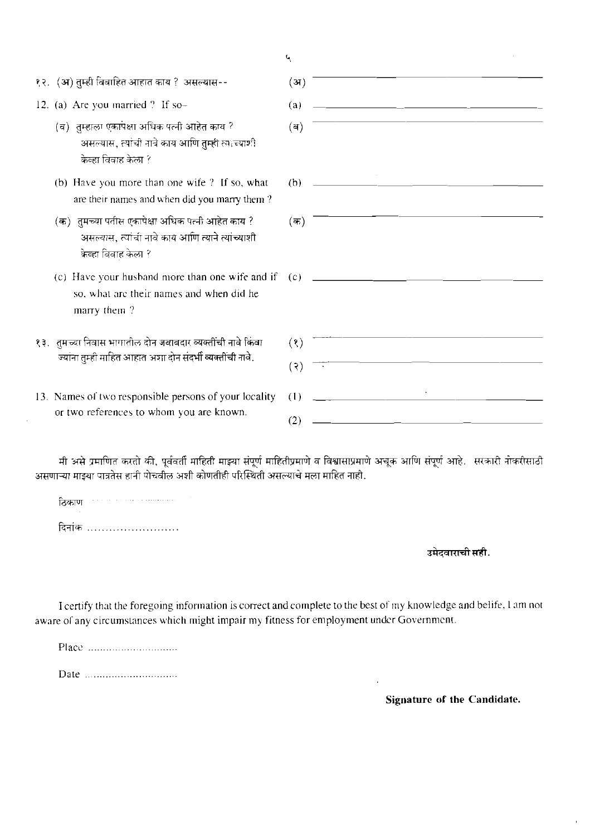|                                                                                                                              | Ч                                                                 |
|------------------------------------------------------------------------------------------------------------------------------|-------------------------------------------------------------------|
| १२. (अ) तुम्ही विवाहित आहात काय ? असल्यास--                                                                                  | (3I)                                                              |
| 12. (a) Are you married ? If so-                                                                                             | (a)                                                               |
| (व) तुम्हाला एकापक्षा अधिक पत्नी आहेत काय ?<br>असल्यास, त्यांची नावे काय आणि तुम्ही त्वाच्याशी<br>केव्हा विवाह केला ?        | (a)                                                               |
| (b) Have you more than one wife ? If so, what<br>are their names and when did you marry them?                                | <u> 2000 - Jan James Barnett, fransk politik (d. 1878)</u><br>(b) |
| (क)) तुमच्या पतीस एकापेक्षा अधिक पत्नी आहेत काय ?<br>असल्यास, त्यांची नावे काय आणि त्याने त्यांच्याशी<br>केव्हा विवाह केला ? | (क)                                                               |
| so, what are their names and when did he<br>marry them?                                                                      |                                                                   |
| १३.   तुमच्या निवास भागातील दोन जबाबदार व्यक्तींची नावे किंवा<br>ज्यांना तुम्ही माहित आहात अशा दोन संदर्भी व्यक्तींची नावे.  | (3)<br>(3)                                                        |
| 13. Names of two responsible persons of your locality<br>or two references to whom you are known.                            | <u> 1900 - Jan James James, politik politik (</u><br>(1)<br>(2)   |

मी असे प्रमाणित करतो की, पूर्ववर्ती माहिती माझ्या संपूर्ण माहितीप्रमाणे व विश्वासाप्रमाणे अचूक आणि संपूर्ण आहे. सरकारी नोकरीसाठी असणाऱ्या माझ्या पात्रतेस हानी पोचवील अशी कोणतीही परिस्थिती असल्याचे मला माहित नाही.

| ठिकाण<br>٠ | The company of the company of the company of the company of the company of the company of the company of the company of the company of the company of the company of the company of the company of the company of the company |  |  |  |  |  |  |  |  |  |  |  |  |
|------------|-------------------------------------------------------------------------------------------------------------------------------------------------------------------------------------------------------------------------------|--|--|--|--|--|--|--|--|--|--|--|--|
| दिनांक     |                                                                                                                                                                                                                               |  |  |  |  |  |  |  |  |  |  |  |  |

 $\ddot{\phantom{a}}$ 

# उमेदवाराची सही.

I certify that the foregoing information is correct and complete to the best of my knowledge and belife, 1 am not aware of any circumstances which might impair my fitness for employment under Government.

**Signature of the Candidate.** 

 $\mathbf{r}$